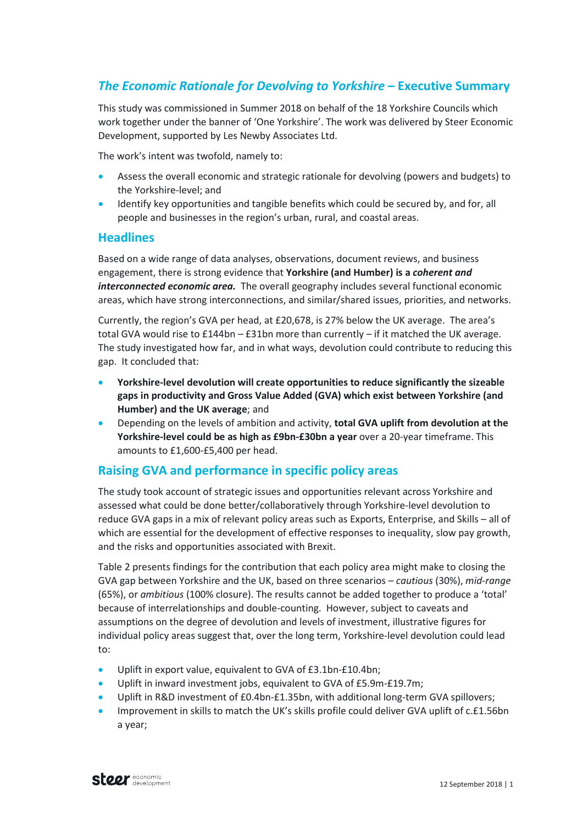# *The Economic Rationale for Devolving to Yorkshire* **– Executive Summary**

This study was commissioned in Summer 2018 on behalf of the 18 Yorkshire Councils which work together under the banner of 'One Yorkshire'. The work was delivered by Steer Economic Development, supported by Les Newby Associates Ltd.

The work's intent was twofold, namely to:

- Assess the overall economic and strategic rationale for devolving (powers and budgets) to the Yorkshire-level; and
- Identify key opportunities and tangible benefits which could be secured by, and for, all people and businesses in the region's urban, rural, and coastal areas.

## **Headlines**

Based on a wide range of data analyses, observations, document reviews, and business engagement, there is strong evidence that **Yorkshire (and Humber) is a** *coherent and interconnected economic area.* The overall geography includes several functional economic areas, which have strong interconnections, and similar/shared issues, priorities, and networks.

Currently, the region's GVA per head, at £20,678, is 27% below the UK average. The area's total GVA would rise to £144bn – £31bn more than currently – if it matched the UK average. The study investigated how far, and in what ways, devolution could contribute to reducing this gap. It concluded that:

- **Yorkshire-level devolution will create opportunities to reduce significantly the sizeable gaps in productivity and Gross Value Added (GVA) which exist between Yorkshire (and Humber) and the UK average**; and
- Depending on the levels of ambition and activity, **total GVA uplift from devolution at the Yorkshire-level could be as high as £9bn-£30bn a year** over a 20-year timeframe. This amounts to £1,600-£5,400 per head.

## **Raising GVA and performance in specific policy areas**

The study took account of strategic issues and opportunities relevant across Yorkshire and assessed what could be done better/collaboratively through Yorkshire-level devolution to reduce GVA gaps in a mix of relevant policy areas such as Exports, Enterprise, and Skills – all of which are essential for the development of effective responses to inequality, slow pay growth, and the risks and opportunities associated with Brexit.

Table 2 presents findings for the contribution that each policy area might make to closing the GVA gap between Yorkshire and the UK, based on three scenarios – *cautious* (30%), *mid-range* (65%), or *ambitious* (100% closure). The results cannot be added together to produce a 'total' because of interrelationships and double-counting. However, subject to caveats and assumptions on the degree of devolution and levels of investment, illustrative figures for individual policy areas suggest that, over the long term, Yorkshire-level devolution could lead to:

- Uplift in export value, equivalent to GVA of £3.1bn-£10.4bn;
- Uplift in inward investment jobs, equivalent to GVA of £5.9m-£19.7m;
- Uplift in R&D investment of £0.4bn-£1.35bn, with additional long-term GVA spillovers;
- Improvement in skills to match the UK's skills profile could deliver GVA uplift of c.£1.56bn a year;

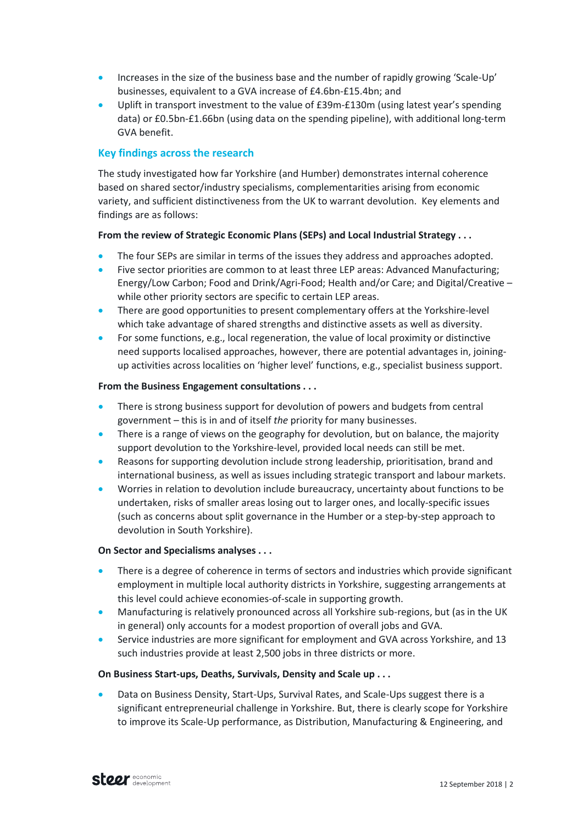- Increases in the size of the business base and the number of rapidly growing 'Scale-Up' businesses, equivalent to a GVA increase of £4.6bn-£15.4bn; and
- Uplift in transport investment to the value of £39m-£130m (using latest year's spending data) or £0.5bn-£1.66bn (using data on the spending pipeline), with additional long-term GVA benefit.

### **Key findings across the research**

The study investigated how far Yorkshire (and Humber) demonstrates internal coherence based on shared sector/industry specialisms, complementarities arising from economic variety, and sufficient distinctiveness from the UK to warrant devolution. Key elements and findings are as follows:

#### **From the review of Strategic Economic Plans (SEPs) and Local Industrial Strategy . . .**

- The four SEPs are similar in terms of the issues they address and approaches adopted.
- Five sector priorities are common to at least three LEP areas: Advanced Manufacturing; Energy/Low Carbon; Food and Drink/Agri-Food; Health and/or Care; and Digital/Creative – while other priority sectors are specific to certain LEP areas.
- There are good opportunities to present complementary offers at the Yorkshire-level which take advantage of shared strengths and distinctive assets as well as diversity.
- For some functions, e.g., local regeneration, the value of local proximity or distinctive need supports localised approaches, however, there are potential advantages in, joiningup activities across localities on 'higher level' functions, e.g., specialist business support.

#### **From the Business Engagement consultations . . .**

- There is strong business support for devolution of powers and budgets from central government – this is in and of itself *the* priority for many businesses.
- There is a range of views on the geography for devolution, but on balance, the majority support devolution to the Yorkshire-level, provided local needs can still be met.
- Reasons for supporting devolution include strong leadership, prioritisation, brand and international business, as well as issues including strategic transport and labour markets.
- Worries in relation to devolution include bureaucracy, uncertainty about functions to be undertaken, risks of smaller areas losing out to larger ones, and locally-specific issues (such as concerns about split governance in the Humber or a step-by-step approach to devolution in South Yorkshire).

#### **On Sector and Specialisms analyses . . .**

- There is a degree of coherence in terms of sectors and industries which provide significant employment in multiple local authority districts in Yorkshire, suggesting arrangements at this level could achieve economies-of-scale in supporting growth.
- Manufacturing is relatively pronounced across all Yorkshire sub-regions, but (as in the UK in general) only accounts for a modest proportion of overall jobs and GVA.
- Service industries are more significant for employment and GVA across Yorkshire, and 13 such industries provide at least 2,500 jobs in three districts or more.

#### **On Business Start-ups, Deaths, Survivals, Density and Scale up . . .**

• Data on Business Density, Start-Ups, Survival Rates, and Scale-Ups suggest there is a significant entrepreneurial challenge in Yorkshire. But, there is clearly scope for Yorkshire to improve its Scale-Up performance, as Distribution, Manufacturing & Engineering, and

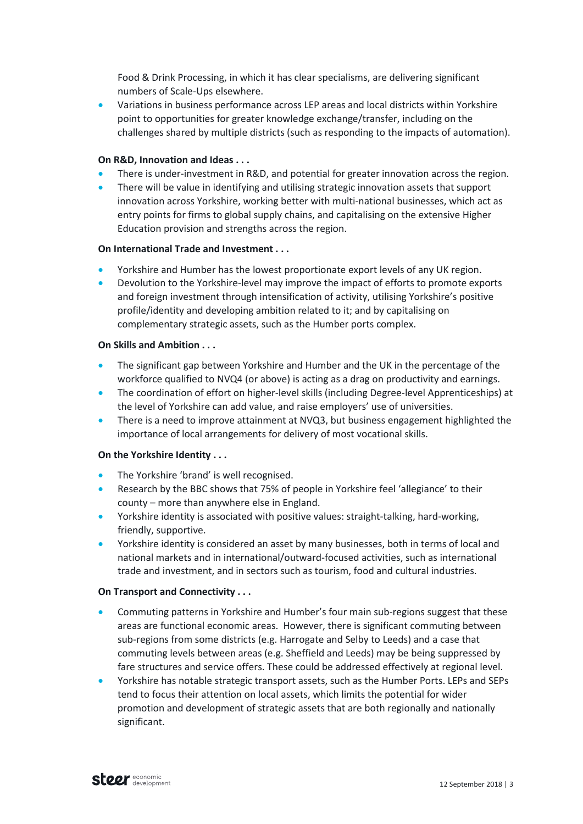Food & Drink Processing, in which it has clear specialisms, are delivering significant numbers of Scale-Ups elsewhere.

• Variations in business performance across LEP areas and local districts within Yorkshire point to opportunities for greater knowledge exchange/transfer, including on the challenges shared by multiple districts (such as responding to the impacts of automation).

#### **On R&D, Innovation and Ideas . . .**

- There is under-investment in R&D, and potential for greater innovation across the region.
- There will be value in identifying and utilising strategic innovation assets that support innovation across Yorkshire, working better with multi-national businesses, which act as entry points for firms to global supply chains, and capitalising on the extensive Higher Education provision and strengths across the region.

#### **On International Trade and Investment . . .**

- Yorkshire and Humber has the lowest proportionate export levels of any UK region.
- Devolution to the Yorkshire-level may improve the impact of efforts to promote exports and foreign investment through intensification of activity, utilising Yorkshire's positive profile/identity and developing ambition related to it; and by capitalising on complementary strategic assets, such as the Humber ports complex.

#### **On Skills and Ambition . . .**

- The significant gap between Yorkshire and Humber and the UK in the percentage of the workforce qualified to NVQ4 (or above) is acting as a drag on productivity and earnings.
- The coordination of effort on higher-level skills (including Degree-level Apprenticeships) at the level of Yorkshire can add value, and raise employers' use of universities.
- There is a need to improve attainment at NVQ3, but business engagement highlighted the importance of local arrangements for delivery of most vocational skills.

#### **On the Yorkshire Identity . . .**

- The Yorkshire 'brand' is well recognised.
- Research by the BBC shows that 75% of people in Yorkshire feel 'allegiance' to their county – more than anywhere else in England.
- Yorkshire identity is associated with positive values: straight-talking, hard-working, friendly, supportive.
- Yorkshire identity is considered an asset by many businesses, both in terms of local and national markets and in international/outward-focused activities, such as international trade and investment, and in sectors such as tourism, food and cultural industries.

#### **On Transport and Connectivity . . .**

- Commuting patterns in Yorkshire and Humber's four main sub-regions suggest that these areas are functional economic areas. However, there is significant commuting between sub-regions from some districts (e.g. Harrogate and Selby to Leeds) and a case that commuting levels between areas (e.g. Sheffield and Leeds) may be being suppressed by fare structures and service offers. These could be addressed effectively at regional level.
- Yorkshire has notable strategic transport assets, such as the Humber Ports. LEPs and SEPs tend to focus their attention on local assets, which limits the potential for wider promotion and development of strategic assets that are both regionally and nationally significant.

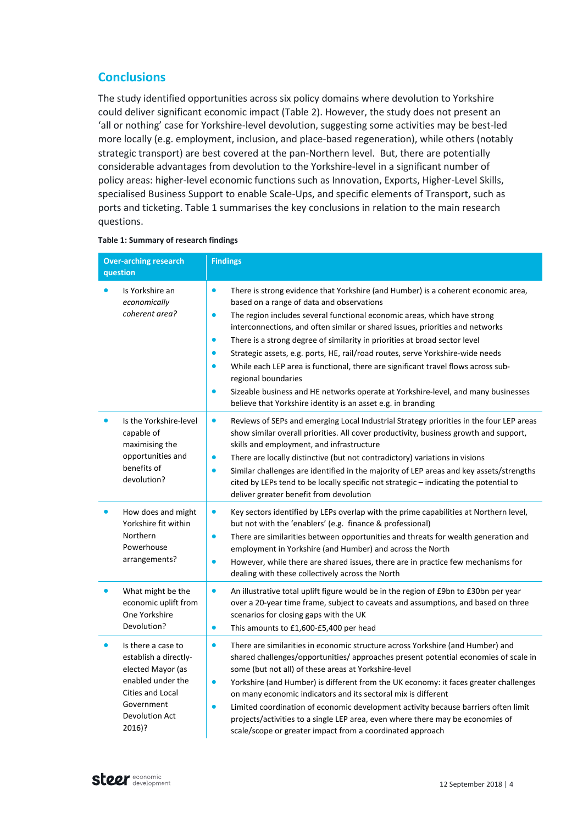# **Conclusions**

The study identified opportunities across six policy domains where devolution to Yorkshire could deliver significant economic impact (Table 2). However, the study does not present an 'all or nothing' case for Yorkshire-level devolution, suggesting some activities may be best-led more locally (e.g. employment, inclusion, and place-based regeneration), while others (notably strategic transport) are best covered at the pan-Northern level. But, there are potentially considerable advantages from devolution to the Yorkshire-level in a significant number of policy areas: higher-level economic functions such as Innovation, Exports, Higher-Level Skills, specialised Business Support to enable Scale-Ups, and specific elements of Transport, such as ports and ticketing. Table 1 summarises the key conclusions in relation to the main research questions.

| <b>Over-arching research</b><br>question                                                                                                            | <b>Findings</b>                                                                                                                                                                                                                                                                                                                                                                                                                                                                                                                                                                                                                                                                                                                                                                  |
|-----------------------------------------------------------------------------------------------------------------------------------------------------|----------------------------------------------------------------------------------------------------------------------------------------------------------------------------------------------------------------------------------------------------------------------------------------------------------------------------------------------------------------------------------------------------------------------------------------------------------------------------------------------------------------------------------------------------------------------------------------------------------------------------------------------------------------------------------------------------------------------------------------------------------------------------------|
| Is Yorkshire an<br>economically<br>coherent area?                                                                                                   | $\bullet$<br>There is strong evidence that Yorkshire (and Humber) is a coherent economic area,<br>based on a range of data and observations<br>The region includes several functional economic areas, which have strong<br>$\bullet$<br>interconnections, and often similar or shared issues, priorities and networks<br>There is a strong degree of similarity in priorities at broad sector level<br>$\bullet$<br>Strategic assets, e.g. ports, HE, rail/road routes, serve Yorkshire-wide needs<br>While each LEP area is functional, there are significant travel flows across sub-<br>regional boundaries<br>Sizeable business and HE networks operate at Yorkshire-level, and many businesses<br>$\bullet$<br>believe that Yorkshire identity is an asset e.g. in branding |
| Is the Yorkshire-level<br>capable of<br>maximising the<br>opportunities and<br>benefits of<br>devolution?                                           | $\bullet$<br>Reviews of SEPs and emerging Local Industrial Strategy priorities in the four LEP areas<br>show similar overall priorities. All cover productivity, business growth and support,<br>skills and employment, and infrastructure<br>There are locally distinctive (but not contradictory) variations in visions<br>$\bullet$<br>Similar challenges are identified in the majority of LEP areas and key assets/strengths<br>$\bullet$<br>cited by LEPs tend to be locally specific not strategic - indicating the potential to<br>deliver greater benefit from devolution                                                                                                                                                                                               |
| How does and might<br>Yorkshire fit within<br>Northern<br>Powerhouse<br>arrangements?                                                               | Key sectors identified by LEPs overlap with the prime capabilities at Northern level,<br>$\bullet$<br>but not with the 'enablers' (e.g. finance & professional)<br>There are similarities between opportunities and threats for wealth generation and<br>$\bullet$<br>employment in Yorkshire (and Humber) and across the North<br>$\bullet$<br>However, while there are shared issues, there are in practice few mechanisms for<br>dealing with these collectively across the North                                                                                                                                                                                                                                                                                             |
| What might be the<br>economic uplift from<br>One Yorkshire<br>Devolution?                                                                           | $\bullet$<br>An illustrative total uplift figure would be in the region of £9bn to £30bn per year<br>over a 20-year time frame, subject to caveats and assumptions, and based on three<br>scenarios for closing gaps with the UK<br>This amounts to £1,600-£5,400 per head<br>$\bullet$                                                                                                                                                                                                                                                                                                                                                                                                                                                                                          |
| Is there a case to<br>establish a directly-<br>elected Mayor (as<br>enabled under the<br>Cities and Local<br>Government<br>Devolution Act<br>2016)? | There are similarities in economic structure across Yorkshire (and Humber) and<br>$\bullet$<br>shared challenges/opportunities/ approaches present potential economies of scale in<br>some (but not all) of these areas at Yorkshire-level<br>Yorkshire (and Humber) is different from the UK economy: it faces greater challenges<br>$\bullet$<br>on many economic indicators and its sectoral mix is different<br>Limited coordination of economic development activity because barriers often limit<br>$\bullet$<br>projects/activities to a single LEP area, even where there may be economies of<br>scale/scope or greater impact from a coordinated approach                                                                                                               |

#### **Table 1: Summary of research findings**

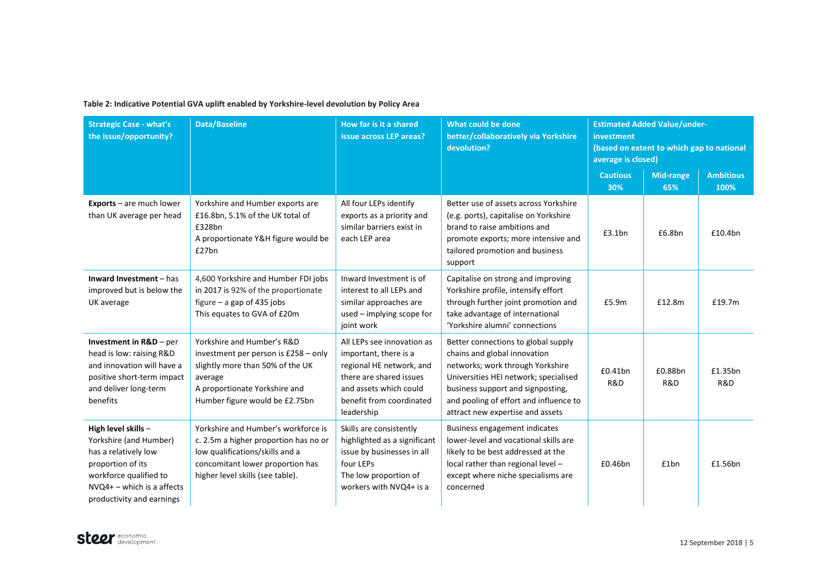# Table 2: Indicative Potential GVA uplift enabled by Yorkshire-level devolution by Policy Area<br>**The Contract of Area**

| <b>Strategic Case - what's</b><br>the issue/opportunity?                                                                                                                          | <b>Data/Baseline</b>                                                                                                                                                                    | How far is it a shared<br>issue across LEP areas?                                                                                                                              | <b>What could be done</b><br>better/collaboratively via Yorkshire<br>devolution?                                                                                                                                                                                    | <b>Estimated Added Value/under-</b><br>investment<br>(based on extent to which gap to national<br>average is closed) |                         |                          |
|-----------------------------------------------------------------------------------------------------------------------------------------------------------------------------------|-----------------------------------------------------------------------------------------------------------------------------------------------------------------------------------------|--------------------------------------------------------------------------------------------------------------------------------------------------------------------------------|---------------------------------------------------------------------------------------------------------------------------------------------------------------------------------------------------------------------------------------------------------------------|----------------------------------------------------------------------------------------------------------------------|-------------------------|--------------------------|
|                                                                                                                                                                                   |                                                                                                                                                                                         |                                                                                                                                                                                |                                                                                                                                                                                                                                                                     | <b>Cautious</b><br>30%                                                                                               | <b>Mid-range</b><br>65% | <b>Ambitious</b><br>100% |
| Exports - are much lower<br>than UK average per head                                                                                                                              | Yorkshire and Humber exports are<br>£16.8bn, 5.1% of the UK total of<br>£328bn<br>A proportionate Y&H figure would be<br>£27bn                                                          | All four LEPs identify<br>exports as a priority and<br>similar barriers exist in<br>each LEP area                                                                              | Better use of assets across Yorkshire<br>(e.g. ports), capitalise on Yorkshire<br>brand to raise ambitions and<br>promote exports; more intensive and<br>tailored promotion and business<br>support                                                                 | £3.1bn                                                                                                               | £6.8bn                  | £10.4bn                  |
| Inward Investment - has<br>improved but is below the<br>UK average                                                                                                                | 4,600 Yorkshire and Humber FDI jobs<br>in 2017 is 92% of the proportionate<br>figure $-$ a gap of 435 jobs<br>This equates to GVA of £20m                                               | Inward Investment is of<br>interest to all LEPs and<br>similar approaches are<br>used - implying scope for<br>joint work                                                       | Capitalise on strong and improving<br>Yorkshire profile, intensify effort<br>through further joint promotion and<br>take advantage of international<br>'Yorkshire alumni' connections                                                                               | £5.9m                                                                                                                | £12.8m                  | £19.7m                   |
| Investment in $R&D$ – per<br>head is low: raising R&D<br>and innovation will have a<br>positive short-term impact<br>and deliver long-term<br>benefits                            | Yorkshire and Humber's R&D<br>investment per person is $£258 - only$<br>slightly more than 50% of the UK<br>average<br>A proportionate Yorkshire and<br>Humber figure would be £2.75bn  | All LEPs see innovation as<br>important, there is a<br>regional HE network, and<br>there are shared issues<br>and assets which could<br>benefit from coordinated<br>leadership | Better connections to global supply<br>chains and global innovation<br>networks; work through Yorkshire<br>Universities HEI network; specialised<br>business support and signposting,<br>and pooling of effort and influence to<br>attract new expertise and assets | £0.41bn<br>R&D                                                                                                       | £0.88bn<br>R&D          | £1.35bn<br>R&D           |
| High level skills -<br>Yorkshire (and Humber)<br>has a relatively low<br>proportion of its<br>workforce qualified to<br>$NVO4+$ – which is a affects<br>productivity and earnings | Yorkshire and Humber's workforce is<br>c. 2.5m a higher proportion has no or<br>low qualifications/skills and a<br>concomitant lower proportion has<br>higher level skills (see table). | Skills are consistently<br>highlighted as a significant<br>issue by businesses in all<br>four LEPs<br>The low proportion of<br>workers with NVQ4+ is a                         | <b>Business engagement indicates</b><br>lower-level and vocational skills are<br>likely to be best addressed at the<br>local rather than regional level -<br>except where niche specialisms are<br>concerned                                                        | £0.46bn                                                                                                              | £1bn                    | £1.56bn                  |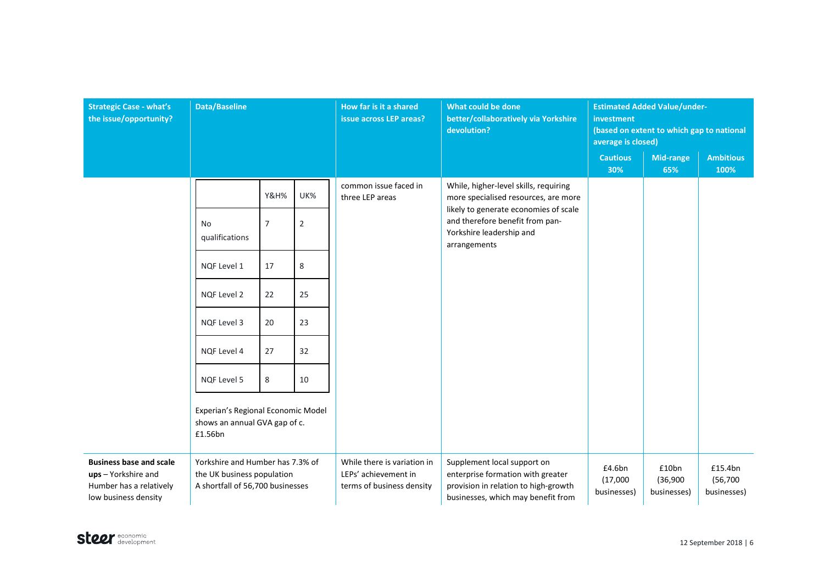| <b>Strategic Case - what's</b><br>the issue/opportunity?                                                 | <b>Data/Baseline</b>                                                                               |                 |                                                                                  | How far is it a shared<br>issue across LEP areas?                                                                                              | What could be done<br>better/collaboratively via Yorkshire<br>devolution?                                              | <b>Estimated Added Value/under-</b><br>investment<br>(based on extent to which gap to national<br>average is closed) |                                     |                          |
|----------------------------------------------------------------------------------------------------------|----------------------------------------------------------------------------------------------------|-----------------|----------------------------------------------------------------------------------|------------------------------------------------------------------------------------------------------------------------------------------------|------------------------------------------------------------------------------------------------------------------------|----------------------------------------------------------------------------------------------------------------------|-------------------------------------|--------------------------|
|                                                                                                          |                                                                                                    |                 |                                                                                  |                                                                                                                                                |                                                                                                                        | <b>Cautious</b><br>30%                                                                                               | Mid-range<br>65%                    | <b>Ambitious</b><br>100% |
|                                                                                                          |                                                                                                    | <b>Y&amp;H%</b> | UK%                                                                              | common issue faced in<br>three LEP areas<br>and therefore benefit from pan-<br>Yorkshire leadership and<br>arrangements                        | While, higher-level skills, requiring<br>more specialised resources, are more<br>likely to generate economies of scale |                                                                                                                      |                                     |                          |
|                                                                                                          | N <sub>o</sub><br>qualifications                                                                   | 7               | $\overline{2}$                                                                   |                                                                                                                                                |                                                                                                                        |                                                                                                                      |                                     |                          |
|                                                                                                          | NOF Level 1                                                                                        | 17              | 8                                                                                |                                                                                                                                                |                                                                                                                        |                                                                                                                      |                                     |                          |
|                                                                                                          | <b>NQF Level 2</b>                                                                                 | 22              | 25                                                                               |                                                                                                                                                |                                                                                                                        |                                                                                                                      |                                     |                          |
|                                                                                                          | NQF Level 3                                                                                        | 20              | 23                                                                               |                                                                                                                                                |                                                                                                                        |                                                                                                                      |                                     |                          |
|                                                                                                          | NQF Level 4                                                                                        | 27              | 32                                                                               |                                                                                                                                                |                                                                                                                        |                                                                                                                      |                                     |                          |
|                                                                                                          | NQF Level 5                                                                                        | 8               | 10                                                                               |                                                                                                                                                |                                                                                                                        |                                                                                                                      |                                     |                          |
|                                                                                                          | Experian's Regional Economic Model<br>shows an annual GVA gap of c.<br>£1.56bn                     |                 |                                                                                  |                                                                                                                                                |                                                                                                                        |                                                                                                                      |                                     |                          |
| <b>Business base and scale</b><br>ups - Yorkshire and<br>Humber has a relatively<br>low business density | Yorkshire and Humber has 7.3% of<br>the UK business population<br>A shortfall of 56,700 businesses |                 | While there is variation in<br>LEPs' achievement in<br>terms of business density | Supplement local support on<br>enterprise formation with greater<br>provision in relation to high-growth<br>businesses, which may benefit from | £4.6bn<br>(17,000)<br>businesses)                                                                                      | £10bn<br>(36,900)<br>businesses)                                                                                     | £15.4bn<br>(56, 700)<br>businesses) |                          |